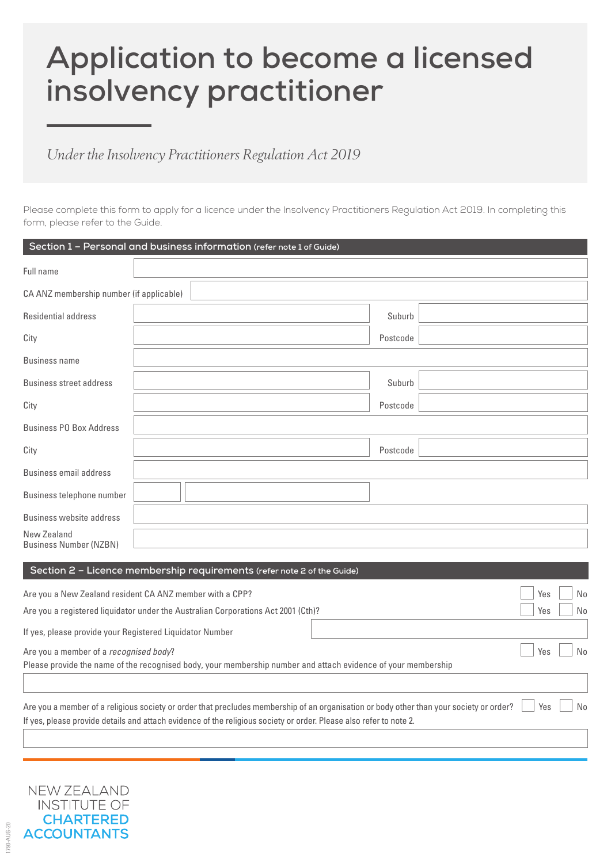# **Application to become a licensed insolvency practitioner**

# *Under the Insolvency Practitioners Regulation Act 2019*

Please complete this form to apply for a licence under the Insolvency Practitioners Regulation Act 2019. In completing this form, please refer to the Guide.

|                                                          | Section 1 - Personal and business information (refer note 1 of Guide)                                                                   |     |    |  |
|----------------------------------------------------------|-----------------------------------------------------------------------------------------------------------------------------------------|-----|----|--|
| Full name                                                |                                                                                                                                         |     |    |  |
| CA ANZ membership number (if applicable)                 |                                                                                                                                         |     |    |  |
| Residential address                                      | Suburb                                                                                                                                  |     |    |  |
| City                                                     | Postcode                                                                                                                                |     |    |  |
| <b>Business name</b>                                     |                                                                                                                                         |     |    |  |
| Business street address                                  | Suburb                                                                                                                                  |     |    |  |
| City                                                     | Postcode                                                                                                                                |     |    |  |
| <b>Business PO Box Address</b>                           |                                                                                                                                         |     |    |  |
| City                                                     | Postcode                                                                                                                                |     |    |  |
| Business email address                                   |                                                                                                                                         |     |    |  |
| Business telephone number                                |                                                                                                                                         |     |    |  |
| <b>Business website address</b>                          |                                                                                                                                         |     |    |  |
| New Zealand<br><b>Business Number (NZBN)</b>             |                                                                                                                                         |     |    |  |
|                                                          | Section 2 - Licence membership requirements (refer note 2 of the Guide)                                                                 |     |    |  |
|                                                          |                                                                                                                                         |     |    |  |
|                                                          | Are you a New Zealand resident CA ANZ member with a CPP?                                                                                | Yes | No |  |
|                                                          | Are you a registered liquidator under the Australian Corporations Act 2001 (Cth)?                                                       | Yes | No |  |
| If yes, please provide your Registered Liquidator Number |                                                                                                                                         |     |    |  |
| Are you a member of a recognised body?<br>Yes            |                                                                                                                                         |     | No |  |
|                                                          | Please provide the name of the recognised body, your membership number and attach evidence of your membership                           |     |    |  |
|                                                          |                                                                                                                                         |     |    |  |
|                                                          | Are you a member of a religious society or order that precludes membership of an organisation or body other than your society or order? | Yes | No |  |
|                                                          | If yes, please provide details and attach evidence of the religious society or order. Please also refer to note 2.                      |     |    |  |



1790-AUG-20

790-AUG-20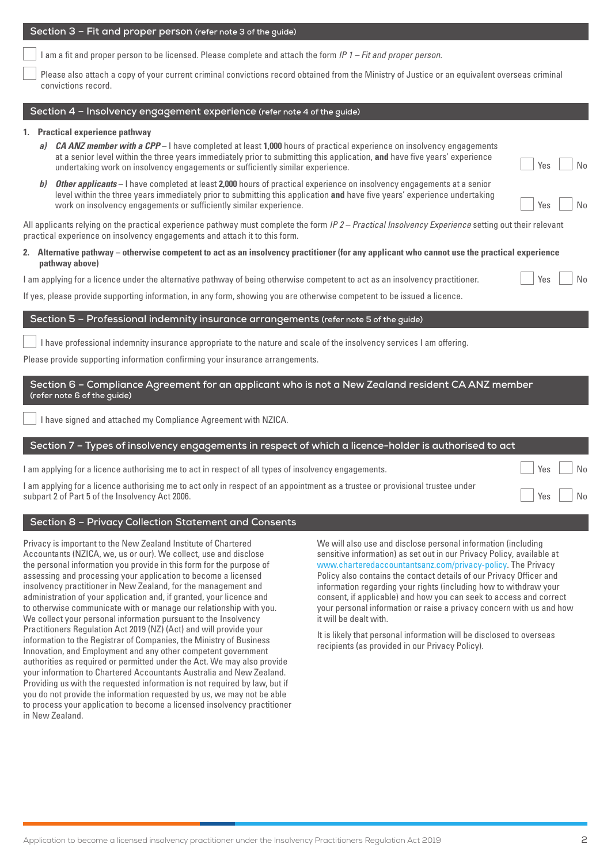Application to become a licensed insolvency practitioner under the Insolvency Practitioners Regulation Act 2019 2

#### **Section 3 – Fit and proper person (refer note 3 of the guide)**

I am a fit and proper person to be licensed. Please complete and attach the form *IP 1 – Fit and proper person.*

 Please also attach a copy of your current criminal convictions record obtained from the Ministry of Justice or an equivalent overseas criminal convictions record.

#### **Section 4 – Insolvency engagement experience (refer note 4 of the guide)**

## **1. Practical experience pathway**

- *a) CA ANZ member with a CPP*  I have completed at least **1,000** hours of practical experience on insolvency engagements at a senior level within the three years immediately prior to submitting this application, **and** have five years' experience undertaking work on insolvency engagements or sufficiently similar experience.
- *b) Other applicants* I have completed at least **2,000** hours of practical experience on insolvency engagements at a senior level within the three years immediately prior to submitting this application **and** have five years' experience undertaking work on insolvency engagements or sufficiently similar experience. The normal problem of the North States of No

All applicants relying on the practical experience pathway must complete the form *IP 2 – Practical Insolvency Experience* setting out their relevant practical experience on insolvency engagements and attach it to this form.

#### **2. Alternative pathway – otherwise competent to act as an insolvency practitioner (for any applicant who cannot use the practical experience pathway above)**

I am applying for a licence under the alternative pathway of being otherwise competent to act as an insolvency practitioner.

If yes, please provide supporting information, in any form, showing you are otherwise competent to be issued a licence.

# **Section 5 – Professional indemnity insurance arrangements (refer note 5 of the guide)**

I have professional indemnity insurance appropriate to the nature and scale of the insolvency services I am offering.

Please provide supporting information confirming your insurance arrangements.

### **Section 6 – Compliance Agreement for an applicant who is not a New Zealand resident CA ANZ member (refer note 6 of the guide)**

I have signed and attached my Compliance Agreement with NZICA.

# **Section 7 – Types of insolvency engagements in respect of which a licence-holder is authorised to act**

| I am applying for a licence authorising me to act in respect of all types of insolvency engagements.                          | Yes    | $\overline{\phantom{a}}$ No |
|-------------------------------------------------------------------------------------------------------------------------------|--------|-----------------------------|
| l am applying for a licence authorising me to act only in respect of an appointment as a trustee or provisional trustee under |        |                             |
| subpart 2 of Part 5 of the Insolvency Act 2006.                                                                               | Yes No |                             |

# **Section 8 – Privacy Collection Statement and Consents**

Privacy is important to the New Zealand Institute of Chartered Accountants (NZICA, we, us or our). We collect, use and disclose the personal information you provide in this form for the purpose of assessing and processing your application to become a licensed insolvency practitioner in New Zealand, for the management and administration of your application and, if granted, your licence and to otherwise communicate with or manage our relationship with you. We collect your personal information pursuant to the Insolvency Practitioners Regulation Act 2019 (NZ) (Act) and will provide your information to the Registrar of Companies, the Ministry of Business Innovation, and Employment and any other competent government authorities as required or permitted under the Act. We may also provide your information to Chartered Accountants Australia and New Zealand. Providing us with the requested information is not required by law, but if you do not provide the information requested by us, we may not be able to process your application to become a licensed insolvency practitioner in New Zealand.

We will also use and disclose personal information (including sensitive information) as set out in our Privacy Policy, available at [www.charteredaccountantsanz.com/privacy-policy](http://www.charteredaccountantsanz.com/privacy-policy). The Privacy Policy also contains the contact details of our Privacy Officer and information regarding your rights (including how to withdraw your consent, if applicable) and how you can seek to access and correct your personal information or raise a privacy concern with us and how it will be dealt with.

It is likely that personal information will be disclosed to overseas recipients (as provided in our Privacy Policy).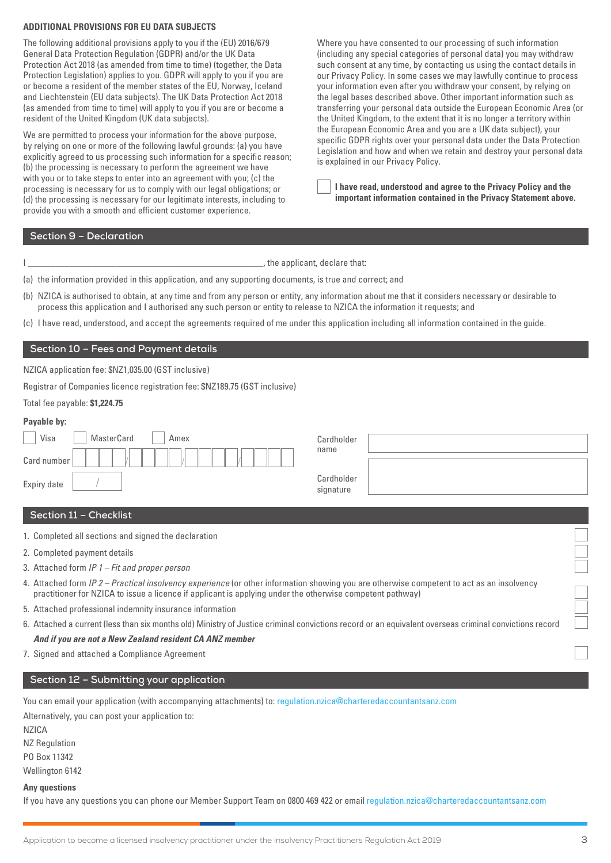#### **ADDITIONAL PROVISIONS FOR EU DATA SUBJECTS**

The following additional provisions apply to you if the (EU) 2016/679 General Data Protection Regulation (GDPR) and/or the UK Data Protection Act 2018 (as amended from time to time) (together, the Data Protection Legislation) applies to you. GDPR will apply to you if you are or become a resident of the member states of the EU, Norway, Iceland and Liechtenstein (EU data subjects). The UK Data Protection Act 2018 (as amended from time to time) will apply to you if you are or become a resident of the United Kingdom (UK data subjects).

We are permitted to process your information for the above purpose, by relying on one or more of the following lawful grounds: (a) you have explicitly agreed to us processing such information for a specific reason; (b) the processing is necessary to perform the agreement we have with you or to take steps to enter into an agreement with you; (c) the processing is necessary for us to comply with our legal obligations; or (d) the processing is necessary for our legitimate interests, including to provide you with a smooth and efficient customer experience.

Where you have consented to our processing of such information (including any special categories of personal data) you may withdraw such consent at any time, by contacting us using the contact details in our Privacy Policy. In some cases we may lawfully continue to process your information even after you withdraw your consent, by relying on the legal bases described above. Other important information such as transferring your personal data outside the European Economic Area (or the United Kingdom, to the extent that it is no longer a territory within the European Economic Area and you are a UK data subject), your specific GDPR rights over your personal data under the Data Protection Legislation and how and when we retain and destroy your personal data is explained in our Privacy Policy.

 **I have read, understood and agree to the Privacy Policy and the important information contained in the Privacy Statement above.** 

#### **Section 9 – Declaration**

| the applicant, declare that: |  |
|------------------------------|--|
|------------------------------|--|

(a) the information provided in this application, and any supporting documents, is true and correct; and

(b) NZICA is authorised to obtain, at any time and from any person or entity, any information about me that it considers necessary or desirable to process this application and I authorised any such person or entity to release to NZICA the information it requests; and

(c) I have read, understood, and accept the agreements required of me under this application including all information contained in the guide.

#### **Section 10 – Fees and Payment details**

NZICA application fee: \$NZ1,035.00 (GST inclusive)

Registrar of Companies licence registration fee: \$NZ189.75 (GST inclusive)

#### Total fee payable: **\$1,224.75**

| Payable by: |            |      |  |
|-------------|------------|------|--|
| Visa        | MasterCard | Amex |  |
| Card number |            |      |  |

| Cardholder<br>name |  |
|--------------------|--|
|                    |  |
|                    |  |
|                    |  |
| Cardholder         |  |
| signature          |  |
|                    |  |

#### **Section 11 – Checklist**

Expiry date

1. Completed all sections and signed the declaration

- 2. Completed payment details
- 3. Attached form *IP 1 Fit and proper person*
- 4. Attached form *IP 2 Practical insolvency experience* (or other information showing you are otherwise competent to act as an insolvency practitioner for NZICA to issue a licence if applicant is applying under the otherwise competent pathway)
- 5. Attached professional indemnity insurance information
- 6. Attached a current (less than six months old) Ministry of Justice criminal convictions record or an equivalent overseas criminal convictions record

# *And if you are not a New Zealand resident CA ANZ member*

7. Signed and attached a Compliance Agreement

### **Section 12 – Submitting your application**

You can email your application (with accompanying attachments) to: [regulation.nzica@charteredaccountantsanz.com](mailto:regulation.nzica%40charteredaccountantsanz.com?subject=)

Alternatively, you can post your application to:

NZICA

NZ Regulation PO Box 11342 Wellington 6142

#### **Any questions**

If you have any questions you can phone our Member Support Team on 0800 469 422 or email [regulation.nzica@charteredaccountantsanz.com](mailto:regulation.nzica@charteredaccountantsanz.com)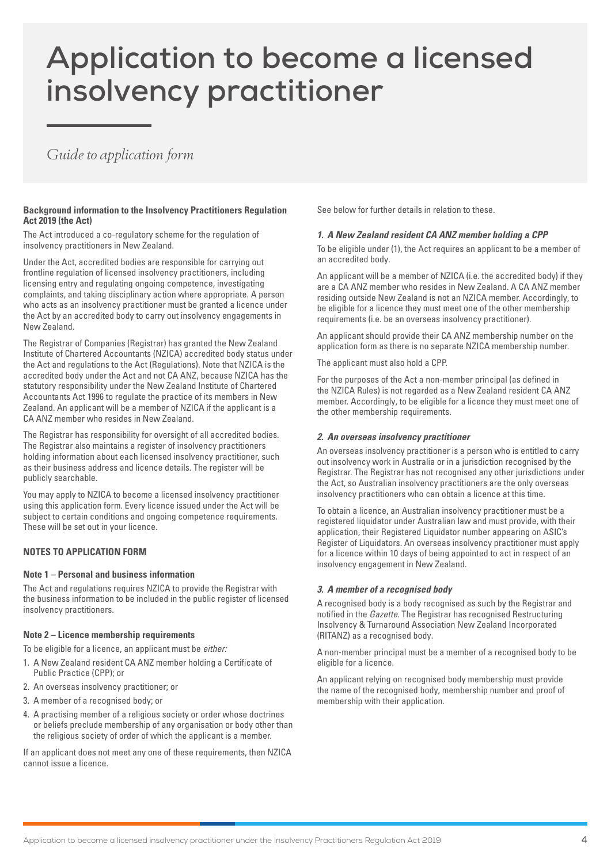# **Application to become a licensed insolvency practitioner**

# *Guide to application form*

#### **Background information to the Insolvency Practitioners Regulation Act 2019 (the Act)**

The Act introduced a co-regulatory scheme for the regulation of insolvency practitioners in New Zealand.

Under the Act, accredited bodies are responsible for carrying out frontline regulation of licensed insolvency practitioners, including licensing entry and regulating ongoing competence, investigating complaints, and taking disciplinary action where appropriate. A person who acts as an insolvency practitioner must be granted a licence under the Act by an accredited body to carry out insolvency engagements in New Zealand.

The Registrar of Companies (Registrar) has granted the New Zealand Institute of Chartered Accountants (NZICA) accredited body status under the Act and regulations to the Act (Regulations). Note that NZICA is the accredited body under the Act and not CA ANZ, because NZICA has the statutory responsibility under the New Zealand Institute of Chartered Accountants Act 1996 to regulate the practice of its members in New Zealand. An applicant will be a member of NZICA if the applicant is a CA ANZ member who resides in New Zealand.

The Registrar has responsibility for oversight of all accredited bodies. The Registrar also maintains a register of insolvency practitioners holding information about each licensed insolvency practitioner, such as their business address and licence details. The register will be publicly searchable.

You may apply to NZICA to become a licensed insolvency practitioner using this application form. Every licence issued under the Act will be subject to certain conditions and ongoing competence requirements. These will be set out in your licence.

#### **NOTES TO APPLICATION FORM**

#### **Note 1 – Personal and business information**

The Act and regulations requires NZICA to provide the Registrar with the business information to be included in the public register of licensed insolvency practitioners.

#### **Note 2 – Licence membership requirements**

To be eligible for a licence, an applicant must be *either:*

- 1. A New Zealand resident CA ANZ member holding a Certificate of Public Practice (CPP); or
- 2. An overseas insolvency practitioner; or
- 3. A member of a recognised body; or
- 4. A practising member of a religious society or order whose doctrines or beliefs preclude membership of any organisation or body other than the religious society of order of which the applicant is a member.

If an applicant does not meet any one of these requirements, then NZICA cannot issue a licence.

See below for further details in relation to these.

#### *1. A New Zealand resident CA ANZ member holding a CPP*

To be eligible under (1), the Act requires an applicant to be a member of an accredited body.

An applicant will be a member of NZICA (i.e. the accredited body) if they are a CA ANZ member who resides in New Zealand. A CA ANZ member residing outside New Zealand is not an NZICA member. Accordingly, to be eligible for a licence they must meet one of the other membership requirements (i.e. be an overseas insolvency practitioner).

An applicant should provide their CA ANZ membership number on the application form as there is no separate NZICA membership number.

The applicant must also hold a CPP.

For the purposes of the Act a non-member principal (as defined in the NZICA Rules) is not regarded as a New Zealand resident CA ANZ member. Accordingly, to be eligible for a licence they must meet one of the other membership requirements.

#### *2. An overseas insolvency practitioner*

An overseas insolvency practitioner is a person who is entitled to carry out insolvency work in Australia or in a jurisdiction recognised by the Registrar. The Registrar has not recognised any other jurisdictions under the Act, so Australian insolvency practitioners are the only overseas insolvency practitioners who can obtain a licence at this time.

To obtain a licence, an Australian insolvency practitioner must be a registered liquidator under Australian law and must provide, with their application, their Registered Liquidator number appearing on ASIC's Register of Liquidators. An overseas insolvency practitioner must apply for a licence within 10 days of being appointed to act in respect of an insolvency engagement in New Zealand.

#### *3. A member of a recognised body*

A recognised body is a body recognised as such by the Registrar and notified in the *Gazette*. The Registrar has recognised Restructuring Insolvency & Turnaround Association New Zealand Incorporated (RITANZ) as a recognised body.

A non-member principal must be a member of a recognised body to be eligible for a licence.

An applicant relying on recognised body membership must provide the name of the recognised body, membership number and proof of membership with their application.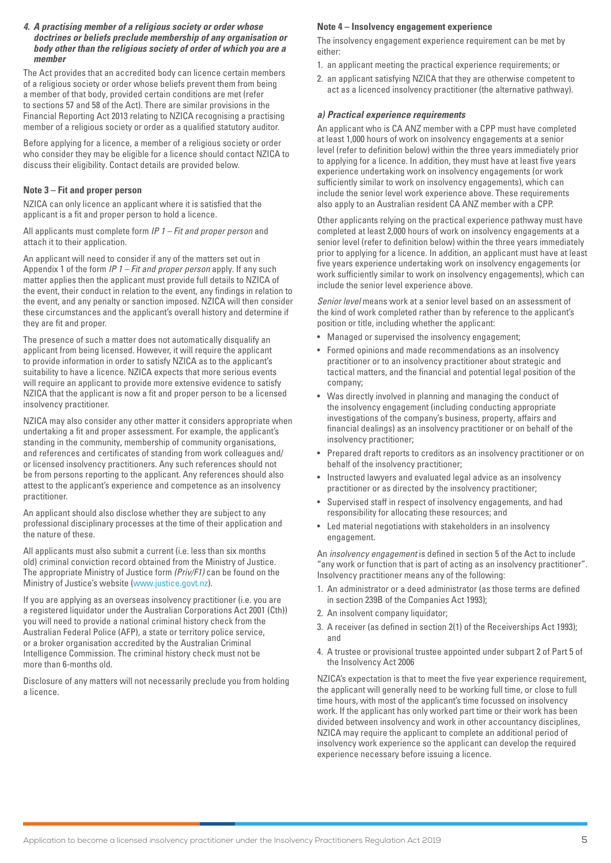#### *4. A practising member of a religious society or order whose doctrines or beliefs preclude membership of any organisation or body other than the religious society of order of which you are a member*

The Act provides that an accredited body can licence certain members of a religious society or order whose beliefs prevent them from being a member of that body, provided certain conditions are met (refer to sections 57 and 58 of the Act). There are similar provisions in the Financial Reporting Act 2013 relating to NZICA recognising a practising member of a religious society or order as a qualified statutory auditor.

Before applying for a licence, a member of a religious society or order who consider they may be eligible for a licence should contact NZICA to discuss their eligibility. Contact details are provided below.

#### **Note 3 – Fit and proper person**

NZICA can only licence an applicant where it is satisfied that the applicant is a fit and proper person to hold a licence.

All applicants must complete form *IP 1 – Fit and proper person* and attach it to their application.

An applicant will need to consider if any of the matters set out in Appendix 1 of the form *IP 1 – Fit and proper person* apply. If any such matter applies then the applicant must provide full details to NZICA of the event, their conduct in relation to the event, any findings in relation to the event, and any penalty or sanction imposed. NZICA will then consider these circumstances and the applicant's overall history and determine if they are fit and proper.

The presence of such a matter does not automatically disqualify an applicant from being licensed. However, it will require the applicant to provide information in order to satisfy NZICA as to the applicant's suitability to have a licence. NZICA expects that more serious events will require an applicant to provide more extensive evidence to satisfy NZICA that the applicant is now a fit and proper person to be a licensed insolvency practitioner.

NZICA may also consider any other matter it considers appropriate when undertaking a fit and proper assessment. For example, the applicant's standing in the community, membership of community organisations, and references and certificates of standing from work colleagues and/ or licensed insolvency practitioners. Any such references should not be from persons reporting to the applicant. Any references should also attest to the applicant's experience and competence as an insolvency practitioner.

An applicant should also disclose whether they are subject to any professional disciplinary processes at the time of their application and the nature of these.

All applicants must also submit a current (i.e. less than six months old) criminal conviction record obtained from the Ministry of Justice. The appropriate Ministry of Justice form *(Priv/F1)* can be found on the Ministry of Justice's website ([www.justice.govt.nz\)](http://www.justice.govt.nz).

If you are applying as an overseas insolvency practitioner (i.e. you are a registered liquidator under the Australian Corporations Act 2001 (Cth)) you will need to provide a national criminal history check from the Australian Federal Police (AFP), a state or territory police service, or a broker organisation accredited by the Australian Criminal Intelligence Commission. The criminal history check must not be more than 6-months old.

Disclosure of any matters will not necessarily preclude you from holding a licence.

#### **Note 4 – Insolvency engagement experience**

The insolvency engagement experience requirement can be met by either:

- 1. an applicant meeting the practical experience requirements; or
- 2. an applicant satisfying NZICA that they are otherwise competent to act as a licenced insolvency practitioner (the alternative pathway).

#### *a) Practical experience requirements*

An applicant who is CA ANZ member with a CPP must have completed at least 1,000 hours of work on insolvency engagements at a senior level (refer to definition below) within the three years immediately prior to applying for a licence. In addition, they must have at least five years experience undertaking work on insolvency engagements (or work sufficiently similar to work on insolvency engagements), which can include the senior level work experience above. These requirements also apply to an Australian resident CA ANZ member with a CPP.

Other applicants relying on the practical experience pathway must have completed at least 2,000 hours of work on insolvency engagements at a senior level (refer to definition below) within the three years immediately prior to applying for a licence. In addition, an applicant must have at least five years experience undertaking work on insolvency engagements (or work sufficiently similar to work on insolvency engagements), which can include the senior level experience above.

*Senior level* means work at a senior level based on an assessment of the kind of work completed rather than by reference to the applicant's position or title, including whether the applicant:

- Managed or supervised the insolvency engagement;
- Formed opinions and made recommendations as an insolvency practitioner or to an insolvency practitioner about strategic and tactical matters, and the financial and potential legal position of the company;
- Was directly involved in planning and managing the conduct of the insolvency engagement (including conducting appropriate investigations of the company's business, property, affairs and financial dealings) as an insolvency practitioner or on behalf of the insolvency practitioner;
- Prepared draft reports to creditors as an insolvency practitioner or on behalf of the insolvency practitioner;
- Instructed lawyers and evaluated legal advice as an insolvency practitioner or as directed by the insolvency practitioner;
- Supervised staff in respect of insolvency engagements, and had responsibility for allocating these resources; and
- Led material negotiations with stakeholders in an insolvency engagement.

An *insolvency engagement* is defined in section 5 of the Act to include "any work or function that is part of acting as an insolvency practitioner". Insolvency practitioner means any of the following:

- 1. An administrator or a deed administrator (as those terms are defined in section 239B of the Companies Act 1993);
- 2. An insolvent company liquidator:
- 3. A receiver (as defined in section 2(1) of the Receiverships Act 1993); and
- 4. A trustee or provisional trustee appointed under subpart 2 of Part 5 of the Insolvency Act 2006

NZICA's expectation is that to meet the five year experience requirement, the applicant will generally need to be working full time, or close to full time hours, with most of the applicant's time focussed on insolvency work. If the applicant has only worked part time or their work has been divided between insolvency and work in other accountancy disciplines, NZICA may require the applicant to complete an additional period of insolvency work experience so the applicant can develop the required experience necessary before issuing a licence.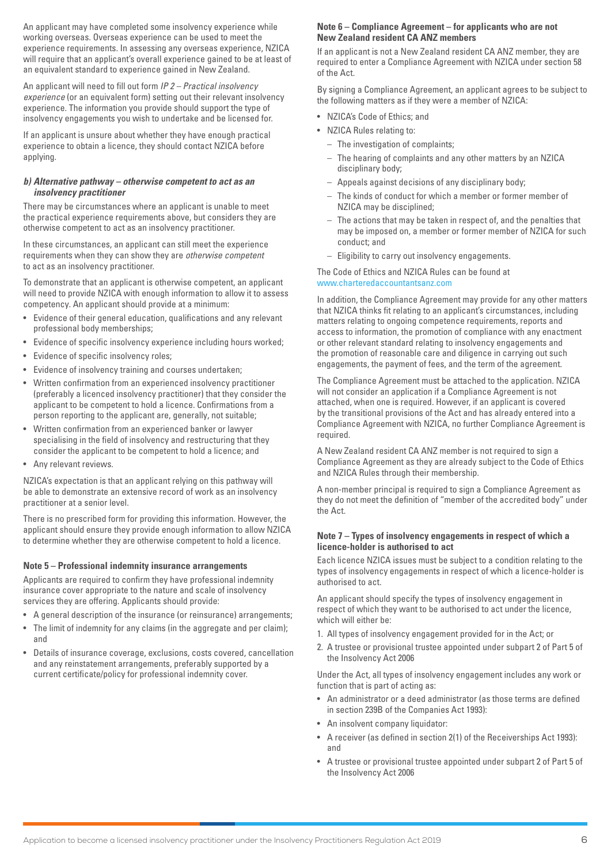An applicant may have completed some insolvency experience while working overseas. Overseas experience can be used to meet the experience requirements. In assessing any overseas experience, NZICA will require that an applicant's overall experience gained to be at least of an equivalent standard to experience gained in New Zealand.

An applicant will need to fill out form *IP 2 – Practical insolvency experience* (or an equivalent form) setting out their relevant insolvency experience. The information you provide should support the type of insolvency engagements you wish to undertake and be licensed for.

If an applicant is unsure about whether they have enough practical experience to obtain a licence, they should contact NZICA before applying.

#### *b) Alternative pathway – otherwise competent to act as an insolvency practitioner*

There may be circumstances where an applicant is unable to meet the practical experience requirements above, but considers they are otherwise competent to act as an insolvency practitioner.

In these circumstances, an applicant can still meet the experience requirements when they can show they are *otherwise competent* to act as an insolvency practitioner.

To demonstrate that an applicant is otherwise competent, an applicant will need to provide NZICA with enough information to allow it to assess competency. An applicant should provide at a minimum:

- Evidence of their general education, qualifications and any relevant professional body memberships;
- Evidence of specific insolvency experience including hours worked;
- Evidence of specific insolvency roles;
- Evidence of insolvency training and courses undertaken;
- Written confirmation from an experienced insolvency practitioner (preferably a licenced insolvency practitioner) that they consider the applicant to be competent to hold a licence. Confirmations from a person reporting to the applicant are, generally, not suitable;
- Written confirmation from an experienced banker or lawyer specialising in the field of insolvency and restructuring that they consider the applicant to be competent to hold a licence; and
- Any relevant reviews.

NZICA's expectation is that an applicant relying on this pathway will be able to demonstrate an extensive record of work as an insolvency practitioner at a senior level.

There is no prescribed form for providing this information. However, the applicant should ensure they provide enough information to allow NZICA to determine whether they are otherwise competent to hold a licence.

#### **Note 5 – Professional indemnity insurance arrangements**

Applicants are required to confirm they have professional indemnity insurance cover appropriate to the nature and scale of insolvency services they are offering. Applicants should provide:

- A general description of the insurance (or reinsurance) arrangements;
- The limit of indemnity for any claims (in the aggregate and per claim); and
- Details of insurance coverage, exclusions, costs covered, cancellation and any reinstatement arrangements, preferably supported by a current certificate/policy for professional indemnity cover.

## **Note 6 – Compliance Agreement – for applicants who are not New Zealand resident CA ANZ members**

If an applicant is not a New Zealand resident CA ANZ member, they are required to enter a Compliance Agreement with NZICA under section 58 of the Act.

By signing a Compliance Agreement, an applicant agrees to be subject to the following matters as if they were a member of NZICA:

- NZICA's Code of Ethics; and
- NZICA Rules relating to:
	- The investigation of complaints;
	- The hearing of complaints and any other matters by an NZICA disciplinary body;
	- Appeals against decisions of any disciplinary body;
	- The kinds of conduct for which a member or former member of NZICA may be disciplined;
	- The actions that may be taken in respect of, and the penalties that may be imposed on, a member or former member of NZICA for such conduct; and
	- Eligibility to carry out insolvency engagements.

The Code of Ethics and NZICA Rules can be found at [www.charteredaccountantsanz.com](http://www.charteredaccountantsanz.com)

In addition, the Compliance Agreement may provide for any other matters that NZICA thinks fit relating to an applicant's circumstances, including matters relating to ongoing competence requirements, reports and access to information, the promotion of compliance with any enactment or other relevant standard relating to insolvency engagements and the promotion of reasonable care and diligence in carrying out such engagements, the payment of fees, and the term of the agreement.

The Compliance Agreement must be attached to the application. NZICA will not consider an application if a Compliance Agreement is not attached, when one is required. However, if an applicant is covered by the transitional provisions of the Act and has already entered into a Compliance Agreement with NZICA, no further Compliance Agreement is required.

A New Zealand resident CA ANZ member is not required to sign a Compliance Agreement as they are already subject to the Code of Ethics and NZICA Rules through their membership.

A non-member principal is required to sign a Compliance Agreement as they do not meet the definition of "member of the accredited body" under the Act.

#### **Note 7 – Types of insolvency engagements in respect of which a licence-holder is authorised to act**

Each licence NZICA issues must be subject to a condition relating to the types of insolvency engagements in respect of which a licence-holder is authorised to act.

An applicant should specify the types of insolvency engagement in respect of which they want to be authorised to act under the licence, which will either be:

- 1. All types of insolvency engagement provided for in the Act; or
- 2. A trustee or provisional trustee appointed under subpart 2 of Part 5 of the Insolvency Act 2006

Under the Act, all types of insolvency engagement includes any work or function that is part of acting as:

- An administrator or a deed administrator (as those terms are defined in section 239B of the Companies Act 1993):
- An insolvent company liquidator:
- A receiver (as defined in section 2(1) of the Receiverships Act 1993): and
- A trustee or provisional trustee appointed under subpart 2 of Part 5 of the Insolvency Act 2006